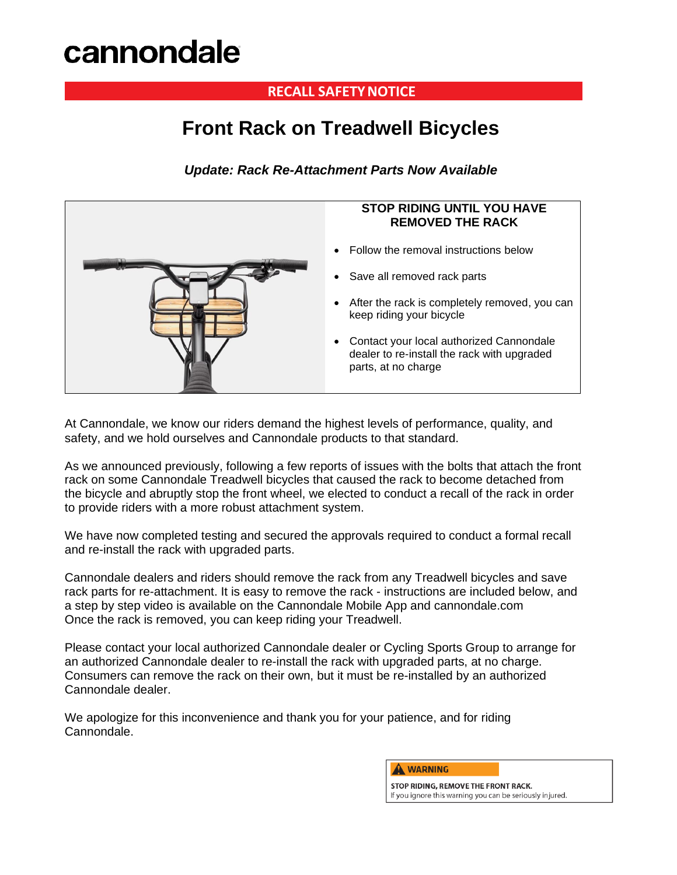# **cannondale**

### **RECALL SAFETY NOTICE**

## **Front Rack on Treadwell Bicycles**

*Update: Rack Re-Attachment Parts Now Available*



At Cannondale, we know our riders demand the highest levels of performance, quality, and safety, and we hold ourselves and Cannondale products to that standard.

As we announced previously, following a few reports of issues with the bolts that attach the front rack on some Cannondale Treadwell bicycles that caused the rack to become detached from the bicycle and abruptly stop the front wheel, we elected to conduct a recall of the rack in order to provide riders with a more robust attachment system.

We have now completed testing and secured the approvals required to conduct a formal recall and re-install the rack with upgraded parts.

Cannondale dealers and riders should remove the rack from any Treadwell bicycles and save rack parts for re-attachment. It is easy to remove the rack - instructions are included below, and a step by step video is available on the Cannondale Mobile App and cannondale.com Once the rack is removed, you can keep riding your Treadwell.

Please contact your local authorized Cannondale dealer or Cycling Sports Group to arrange for an authorized Cannondale dealer to re-install the rack with upgraded parts, at no charge. Consumers can remove the rack on their own, but it must be re-installed by an authorized Cannondale dealer.

We apologize for this inconvenience and thank you for your patience, and for riding Cannondale.